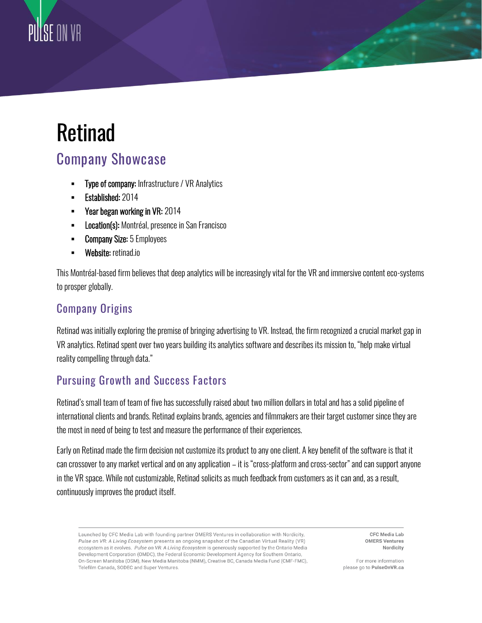## Retinad

PIITSE ON VR

## Company Showcase

- **Type of company: Infrastructure / VR Analytics**
- Established: 2014
- Year began working in VR: 2014
- **EXECTE:** Location(s): Montréal, presence in San Francisco
- **Company Size:** 5 Employees
- **Website:** retinad.io

This Montréal-based firm believes that deep analytics will be increasingly vital for the VR and immersive content eco-systems to prosper globally.

## Company Origins

Retinad was initially exploring the premise of bringing advertising to VR. Instead, the firm recognized a crucial market gap in VR analytics. Retinad spent over two years building its analytics software and describes its mission to, "help make virtual reality compelling through data."

## Pursuing Growth and Success Factors

Retinad's small team of team of five has successfully raised about two million dollars in total and has a solid pipeline of international clients and brands. Retinad explains brands, agencies and filmmakers are their target customer since they are the most in need of being to test and measure the performance of their experiences.

Early on Retinad made the firm decision not customize its product to any one client. A key benefit of the software is that it can crossover to any market vertical and on any application – it is "cross-platform and cross-sector" and can support anyone in the VR space. While not customizable, Retinad solicits as much feedback from customers as it can and, as a result, continuously improves the product itself.

Launched by CFC Media Lab with founding partner OMERS Ventures in collaboration with Nordicity, Pulse on VR: A Living Ecosystem presents an ongoing snapshot of the Canadian Virtual Reality (VR) ecosystem as it evolves. Pulse on VR: A Living Ecosystem is generously supported by the Ontario Media Development Corporation (OMDC), the Federal Economic Development Agency for Southern Ontario, On-Screen Manitoba (OSM), New Media Manitoba (NMM), Creative BC, Canada Media Fund (CMF-FMC), Telefilm Canada, SODEC and Super Ventures.

**CFC Media Lab OMERS Ventures** Nordicity

For more information please go to PulseOnVR.ca